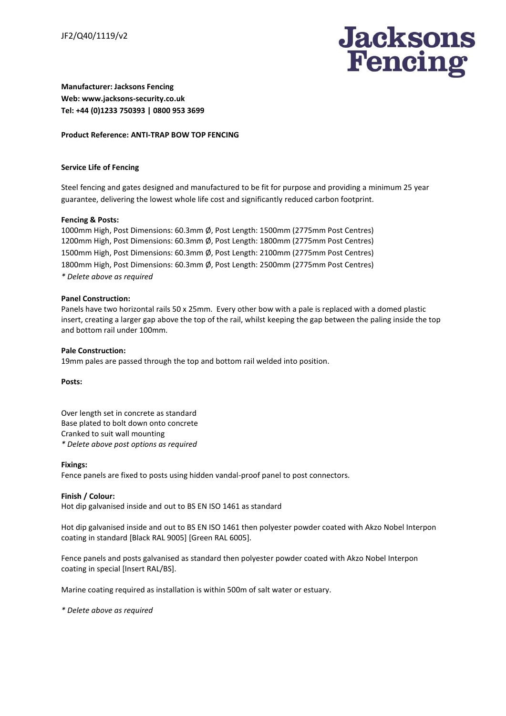

**Manufacturer: Jacksons Fencing Web: www.jacksons-security.co.uk Tel: +44 (0)1233 750393 | 0800 953 3699**

## **Product Reference: ANTI-TRAP BOW TOP FENCING**

# **Service Life of Fencing**

Steel fencing and gates designed and manufactured to be fit for purpose and providing a minimum 25 year guarantee, delivering the lowest whole life cost and significantly reduced carbon footprint.

## **Fencing & Posts:**

1000mm High, Post Dimensions: 60.3mm Ø, Post Length: 1500mm (2775mm Post Centres) 1200mm High, Post Dimensions: 60.3mm Ø, Post Length: 1800mm (2775mm Post Centres) 1500mm High, Post Dimensions: 60.3mm Ø, Post Length: 2100mm (2775mm Post Centres) 1800mm High, Post Dimensions: 60.3mm Ø, Post Length: 2500mm (2775mm Post Centres) *\* Delete above as required*

### **Panel Construction:**

Panels have two horizontal rails 50 x 25mm. Every other bow with a pale is replaced with a domed plastic insert, creating a larger gap above the top of the rail, whilst keeping the gap between the paling inside the top and bottom rail under 100mm.

**Pale Construction:** 19mm pales are passed through the top and bottom rail welded into position.

**Posts:**

Over length set in concrete as standard Base plated to bolt down onto concrete Cranked to suit wall mounting *\* Delete above post options as required*

#### **Fixings:**

Fence panels are fixed to posts using hidden vandal-proof panel to post connectors.

# **Finish / Colour:**

Hot dip galvanised inside and out to BS EN ISO 1461 as standard

Hot dip galvanised inside and out to BS EN ISO 1461 then polyester powder coated with Akzo Nobel Interpon coating in standard [Black RAL 9005] [Green RAL 6005].

Fence panels and posts galvanised as standard then polyester powder coated with Akzo Nobel Interpon coating in special [Insert RAL/BS].

Marine coating required as installation is within 500m of salt water or estuary.

*\* Delete above as required*